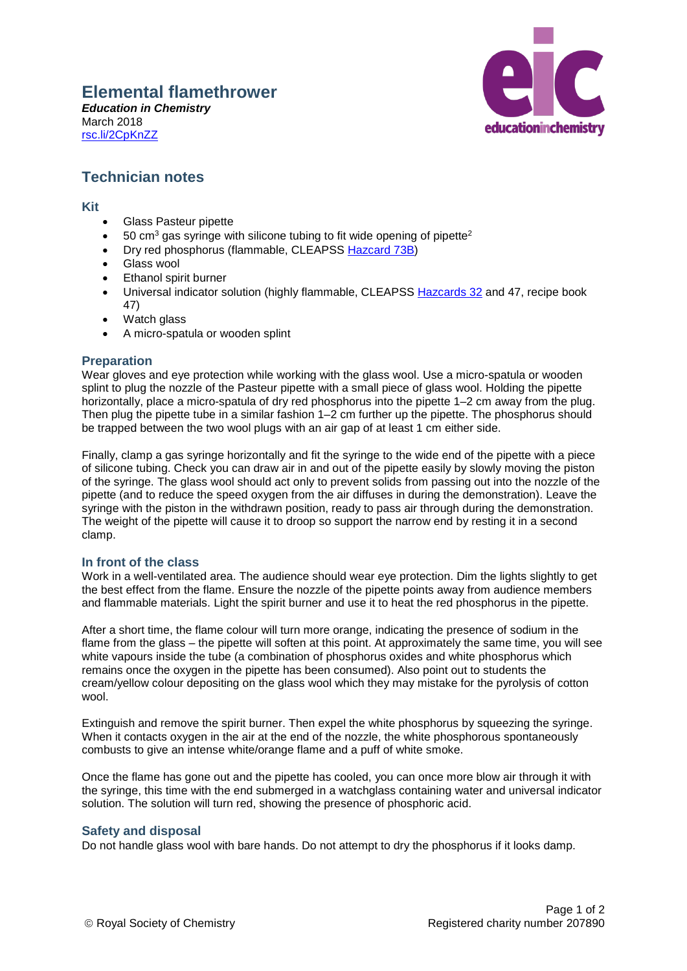# **Elemental flamethrower**

*Education in Chemistry* March 2018 [rsc.li/2CpKnZZ](http://rsc.li/2CpKnZZ)



## **Technician notes**

#### **Kit**

- Glass Pasteur pipette
- $50 \text{ cm}^3$  gas syringe with silicone tubing to fit wide opening of pipette<sup>2</sup>
- Dry red phosphorus (flammable, CLEAPSS [Hazcard 73B\)](http://science.cleapss.org.uk/Resource-Info/HC073B-Phosphorus-P-red.aspx)
- Glass wool
- Ethanol spirit burner
- Universal indicator solution (highly flammable, CLEAPSS [Hazcards 32](http://science.cleapss.org.uk/Resource-Info/HC032-Dyes-indicators-and-stains.aspx) and 47, recipe book 47)
- Watch glass
- A micro-spatula or wooden splint

#### **Preparation**

Wear gloves and eye protection while working with the glass wool. Use a micro-spatula or wooden splint to plug the nozzle of the Pasteur pipette with a small piece of glass wool. Holding the pipette horizontally, place a micro-spatula of dry red phosphorus into the pipette 1–2 cm away from the plug. Then plug the pipette tube in a similar fashion 1–2 cm further up the pipette. The phosphorus should be trapped between the two wool plugs with an air gap of at least 1 cm either side.

Finally, clamp a gas syringe horizontally and fit the syringe to the wide end of the pipette with a piece of silicone tubing. Check you can draw air in and out of the pipette easily by slowly moving the piston of the syringe. The glass wool should act only to prevent solids from passing out into the nozzle of the pipette (and to reduce the speed oxygen from the air diffuses in during the demonstration). Leave the syringe with the piston in the withdrawn position, ready to pass air through during the demonstration. The weight of the pipette will cause it to droop so support the narrow end by resting it in a second clamp.

### **In front of the class**

Work in a well-ventilated area. The audience should wear eye protection. Dim the lights slightly to get the best effect from the flame. Ensure the nozzle of the pipette points away from audience members and flammable materials. Light the spirit burner and use it to heat the red phosphorus in the pipette.

After a short time, the flame colour will turn more orange, indicating the presence of sodium in the flame from the glass – the pipette will soften at this point. At approximately the same time, you will see white vapours inside the tube (a combination of phosphorus oxides and white phosphorus which remains once the oxygen in the pipette has been consumed). Also point out to students the cream/yellow colour depositing on the glass wool which they may mistake for the pyrolysis of cotton wool.

Extinguish and remove the spirit burner. Then expel the white phosphorus by squeezing the syringe. When it contacts oxygen in the air at the end of the nozzle, the white phosphorous spontaneously combusts to give an intense white/orange flame and a puff of white smoke.

Once the flame has gone out and the pipette has cooled, you can once more blow air through it with the syringe, this time with the end submerged in a watchglass containing water and universal indicator solution. The solution will turn red, showing the presence of phosphoric acid.

#### **Safety and disposal**

Do not handle glass wool with bare hands. Do not attempt to dry the phosphorus if it looks damp.